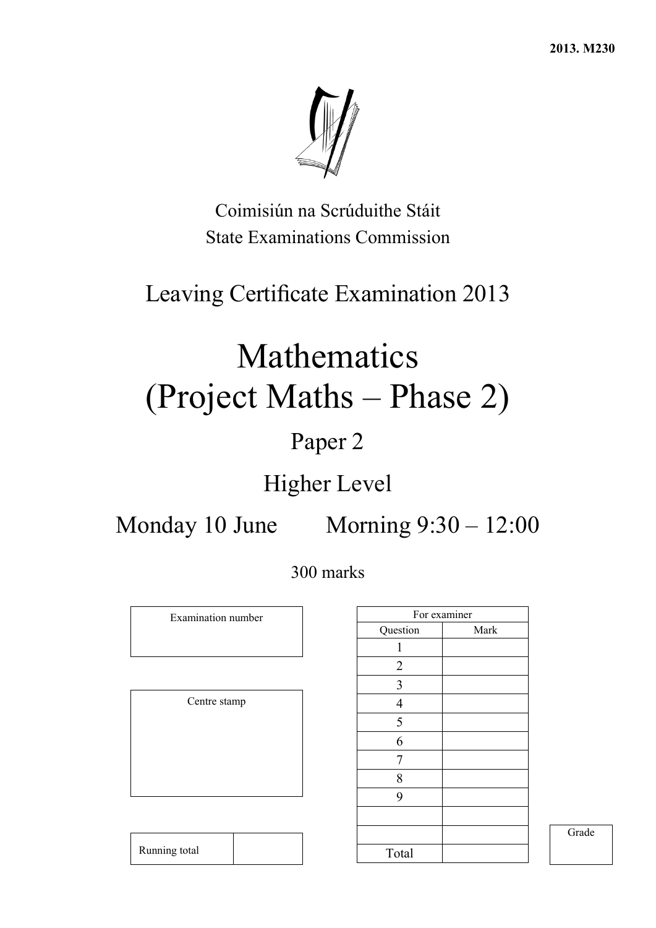**2013. M230** 



Coimisiún na Scrúduithe Stáit State Examinations Commission

## Leaving Certificate Examination 2013

# Mathematics (Project Maths – Phase 2)

## Paper 2

## Higher Level

Monday 10 June Morning 9:30 – 12:00

300 marks

Examination number

Centre stamp

Running total

|                         | For examiner |
|-------------------------|--------------|
| Question                | Mark         |
| 1                       |              |
| $\overline{2}$          |              |
| $\overline{\mathbf{3}}$ |              |
| $\overline{4}$          |              |
| 5                       |              |
| 6                       |              |
| 7                       |              |
| 8                       |              |
| 9                       |              |
|                         |              |
|                         |              |
| Total                   |              |

Grade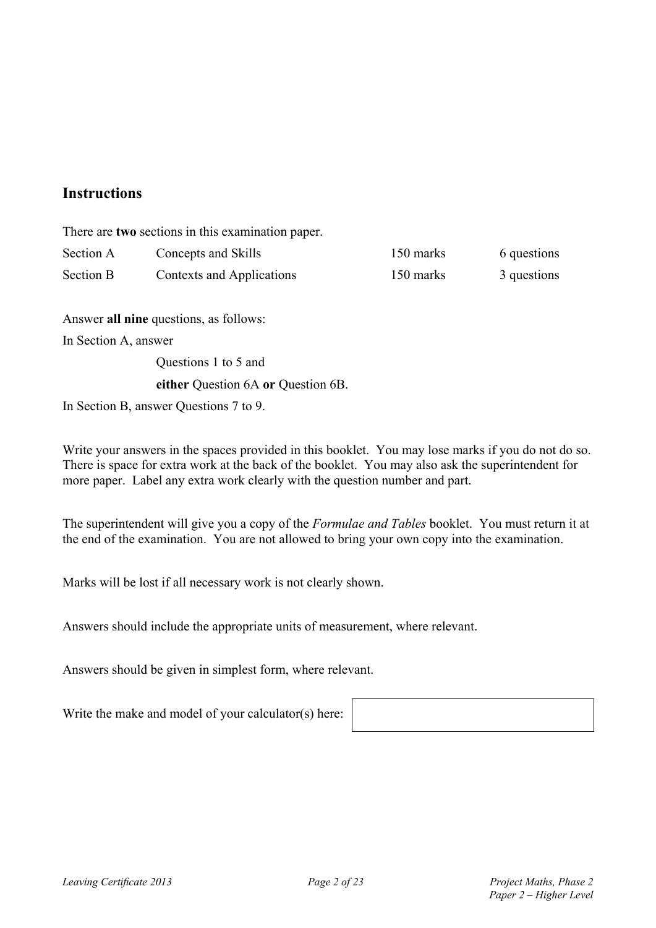#### **Instructions**

There are **two** sections in this examination paper.

| Section A        | Concepts and Skills       | 150 marks | 6 questions |
|------------------|---------------------------|-----------|-------------|
| <b>Section B</b> | Contexts and Applications | 150 marks | 3 questions |

Answer **all nine** questions, as follows:

In Section A, answer

Questions 1 to 5 and

#### **either** Question 6A **or** Question 6B.

In Section B, answer Questions 7 to 9.

Write your answers in the spaces provided in this booklet. You may lose marks if you do not do so. There is space for extra work at the back of the booklet. You may also ask the superintendent for more paper. Label any extra work clearly with the question number and part.

The superintendent will give you a copy of the *Formulae and Tables* booklet. You must return it at the end of the examination. You are not allowed to bring your own copy into the examination.

Marks will be lost if all necessary work is not clearly shown.

Answers should include the appropriate units of measurement, where relevant.

Answers should be given in simplest form, where relevant.

Write the make and model of your calculator(s) here: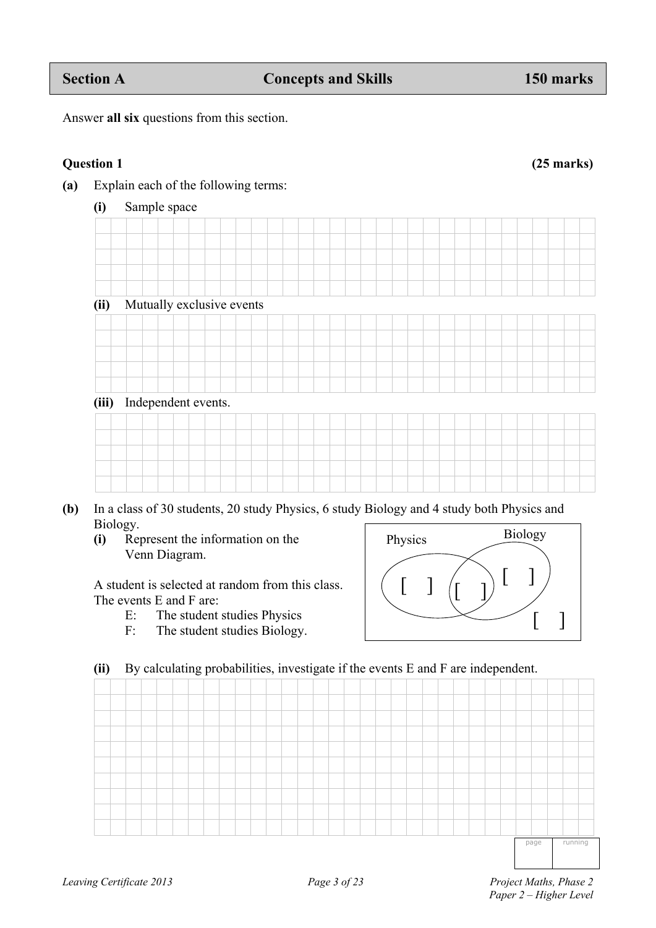| (ii)  |  | Mutually exclusive events |  |  |  |  |  |  |  |  |  |  |
|-------|--|---------------------------|--|--|--|--|--|--|--|--|--|--|
|       |  |                           |  |  |  |  |  |  |  |  |  |  |
|       |  |                           |  |  |  |  |  |  |  |  |  |  |
|       |  |                           |  |  |  |  |  |  |  |  |  |  |
|       |  |                           |  |  |  |  |  |  |  |  |  |  |
|       |  |                           |  |  |  |  |  |  |  |  |  |  |
| (iii) |  | Independent events.       |  |  |  |  |  |  |  |  |  |  |
|       |  |                           |  |  |  |  |  |  |  |  |  |  |
|       |  |                           |  |  |  |  |  |  |  |  |  |  |
|       |  |                           |  |  |  |  |  |  |  |  |  |  |
|       |  |                           |  |  |  |  |  |  |  |  |  |  |
|       |  |                           |  |  |  |  |  |  |  |  |  |  |

- **(b)** In a class of 30 students, 20 study Physics, 6 study Biology and 4 study both Physics and Biology. Physics Biology
	- **(i)** Represent the information on the Venn Diagram.

 A student is selected at random from this class. The events E and F are:

- E: The student studies Physics
- F: The student studies Biology.

### **(ii)** By calculating probabilities, investigate if the events E and F are independent.

 $\begin{pmatrix} 1 & 1 \end{pmatrix}$   $\begin{pmatrix} 1 & 1 \end{pmatrix}$ 

page running

 $\lceil \; \rceil$ 

Answer **all six** questions from this section.

**(a)** Explain each of the following terms:

**(i)** Sample space

**Question 1 (25 marks)**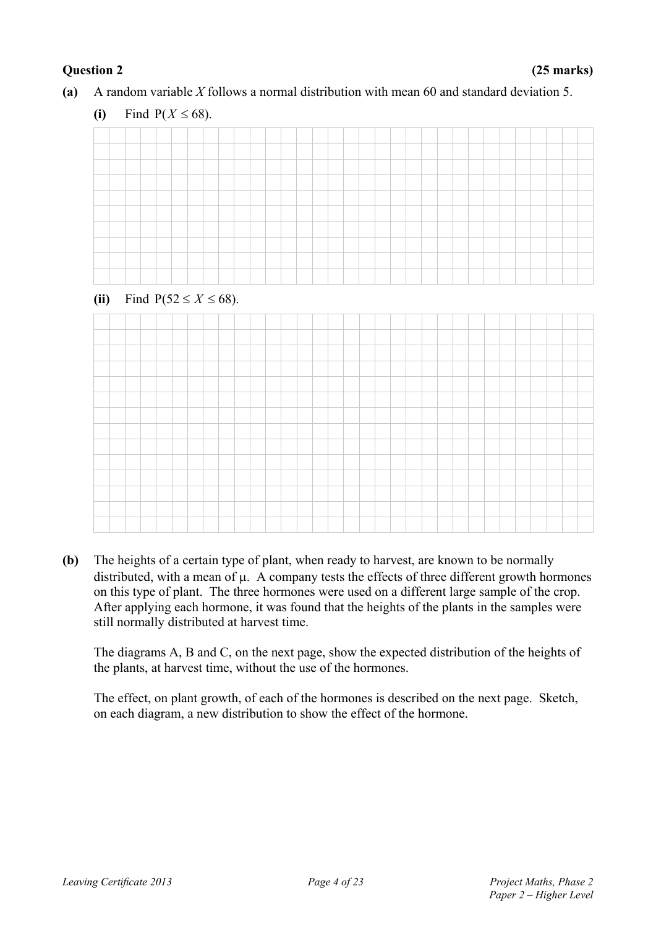**(a)** A random variable *X* follows a normal distribution with mean 60 and standard deviation 5.

#### (ii) Find  $P(52 \le X \le 68)$ .



**(b)** The heights of a certain type of plant, when ready to harvest, are known to be normally distributed, with a mean of  $\mu$ . A company tests the effects of three different growth hormones on this type of plant. The three hormones were used on a different large sample of the crop. After applying each hormone, it was found that the heights of the plants in the samples were still normally distributed at harvest time.

The diagrams A, B and C, on the next page, show the expected distribution of the heights of the plants, at harvest time, without the use of the hormones.

The effect, on plant growth, of each of the hormones is described on the next page. Sketch, on each diagram, a new distribution to show the effect of the hormone.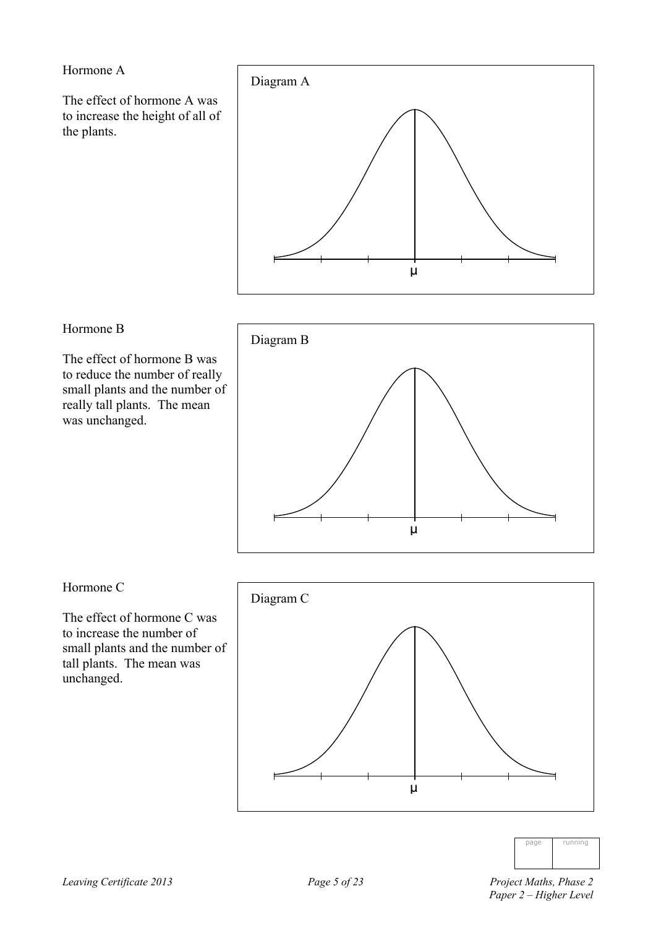Hormone A

The effect of hormone A was to increase the height of all of the plants.



#### Hormone B

The effect of hormone B was to reduce the number of really small plants and the number of really tall plants. The mean was unchanged.



#### Hormone C

The effect of hormone C was to increase the number of small plants and the number of tall plants. The mean was unchanged.





 *Paper 2 – Higher Level*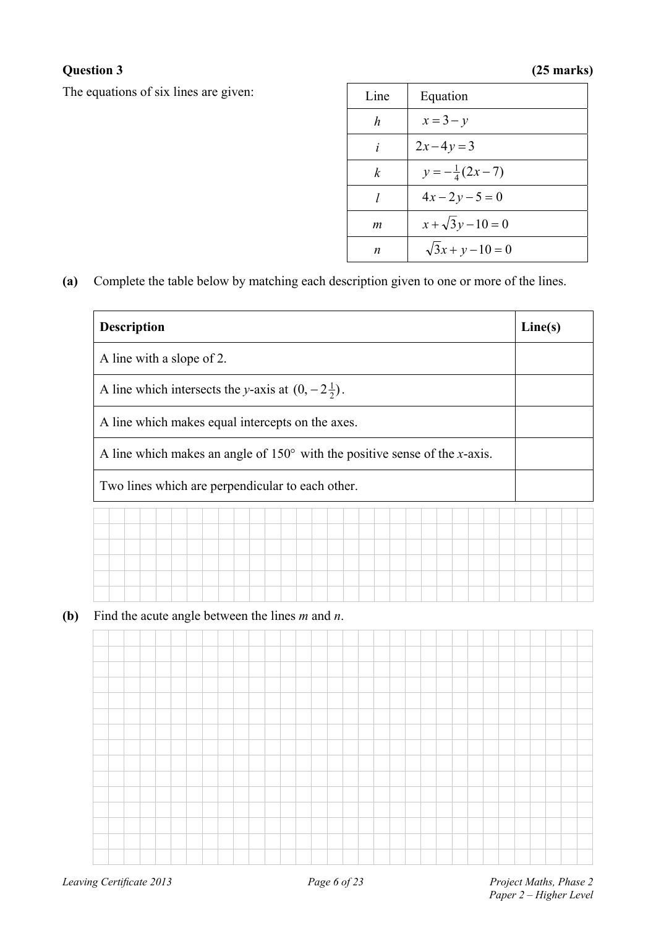### **Question 3 (25 marks)**

The equations of six lines are given:

| Line | Equation                 |
|------|--------------------------|
| h    | $x=3-y$                  |
| i    | $2x-4y=3$                |
| k    | $y = -\frac{1}{4}(2x-7)$ |
| 1    | $4x-2y-5=0$              |
| m    | $x + \sqrt{3}y - 10 = 0$ |
| n    | $\sqrt{3x + y - 10} = 0$ |

**(a)** Complete the table below by matching each description given to one or more of the lines.

| <b>Description</b>                                           |                                                                                     | Line(s) |
|--------------------------------------------------------------|-------------------------------------------------------------------------------------|---------|
| A line with a slope of 2.                                    |                                                                                     |         |
| A line which intersects the y-axis at $(0, -2\frac{1}{2})$ . |                                                                                     |         |
| A line which makes equal intercepts on the axes.             |                                                                                     |         |
|                                                              | A line which makes an angle of $150^{\circ}$ with the positive sense of the x-axis. |         |
|                                                              |                                                                                     |         |
| Two lines which are perpendicular to each other.             |                                                                                     |         |
|                                                              |                                                                                     |         |
|                                                              |                                                                                     |         |
|                                                              |                                                                                     |         |
| Find the acute angle between the lines $m$ and $n$ .         |                                                                                     |         |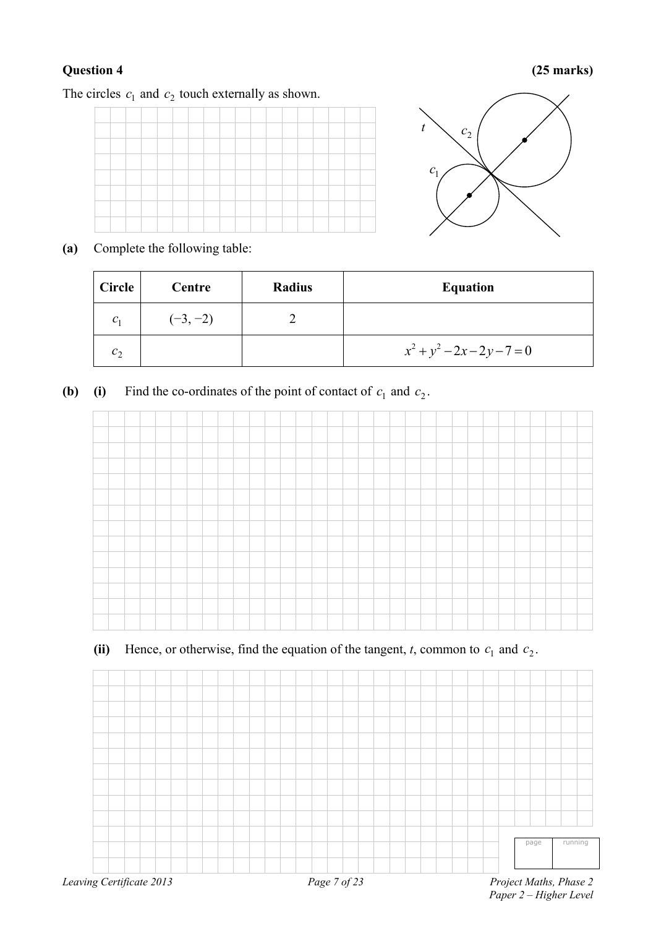#### **Question 4 (25 marks)**

The circles  $c_1$  and  $c_2$  touch externally as shown.





**(a)** Complete the following table:

| <b>Circle</b> | Centre     | <b>Radius</b> | <b>Equation</b>               |
|---------------|------------|---------------|-------------------------------|
| $C_1$         | $(-3, -2)$ |               |                               |
| $c_{2}$       |            |               | $x^2 + y^2 - 2x - 2y - 7 = 0$ |

**(b) (i)** Find the co-ordinates of the point of contact of  $c_1$  and  $c_2$ .



### (ii) Hence, or otherwise, find the equation of the tangent,  $t$ , common to  $c_1$  and  $c_2$ .

|                          |              | running<br>page        |
|--------------------------|--------------|------------------------|
| Leaving Certificate 2013 | Page 7 of 23 | Project Maths, Phase 2 |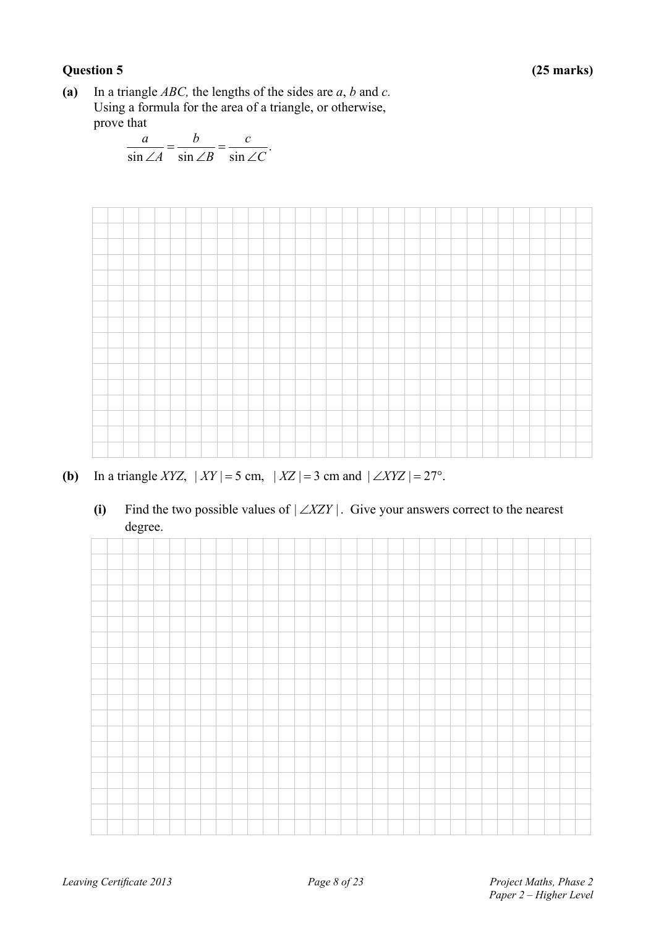#### **Question 5 (25 marks)**

**(a)** In a triangle *ABC,* the lengths of the sides are *a*, *b* and *c.* Using a formula for the area of a triangle, or otherwise, prove that

$$
\frac{a}{\sin \angle A} = \frac{b}{\sin \angle B} = \frac{c}{\sin \angle C}.
$$



- **(b)** In a triangle *XYZ*,  $|XY| = 5$  cm,  $|XZ| = 3$  cm and  $| \angle XYZ| = 27^\circ$ .
	- (i) Find the two possible values of  $|\angle XZY|$ . Give your answers correct to the nearest degree.

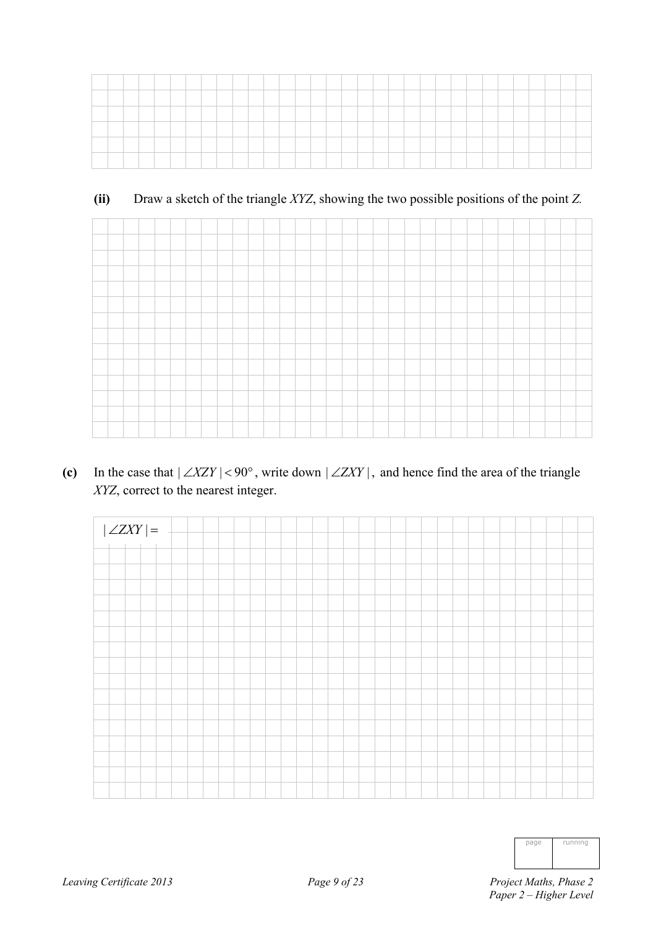| -    |  |  |  |  |  |  |  |  |  |  |  |  |  |  |  |  |
|------|--|--|--|--|--|--|--|--|--|--|--|--|--|--|--|--|
| ____ |  |  |  |  |  |  |  |  |  |  |  |  |  |  |  |  |
|      |  |  |  |  |  |  |  |  |  |  |  |  |  |  |  |  |
|      |  |  |  |  |  |  |  |  |  |  |  |  |  |  |  |  |
|      |  |  |  |  |  |  |  |  |  |  |  |  |  |  |  |  |
|      |  |  |  |  |  |  |  |  |  |  |  |  |  |  |  |  |

#### **(ii)** Draw a sketch of the triangle *XYZ*, showing the two possible positions of the point *Z.*

(c) In the case that  $|\angle XZY|$  < 90°, write down  $|\angle ZXY|$ , and hence find the area of the triangle *XYZ*, correct to the nearest integer.



| page | running |
|------|---------|
|      |         |
|      |         |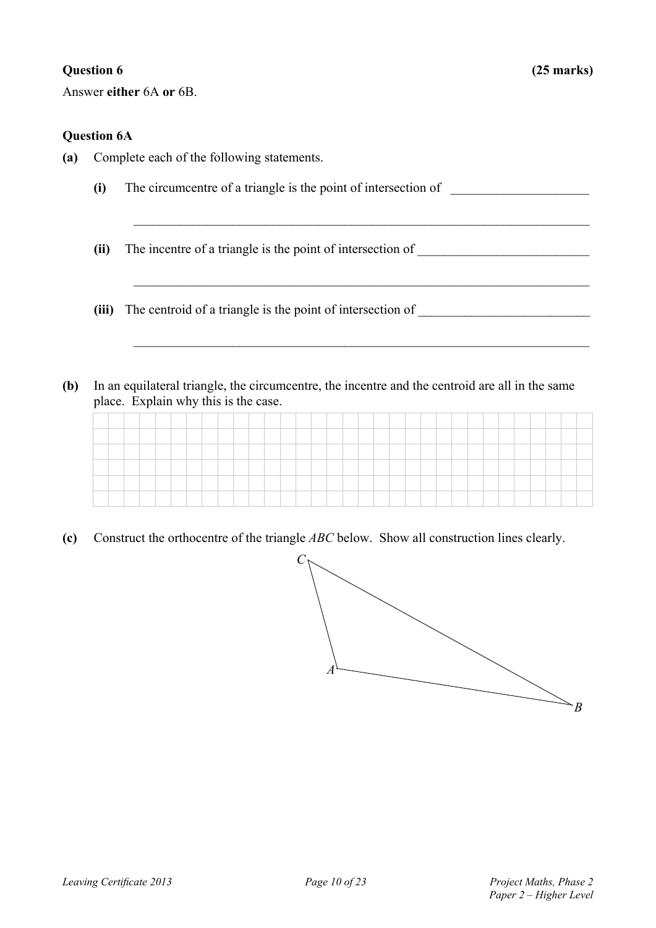Answer **either** 6A **or** 6B.

#### **Question 6A**

- **(a)** Complete each of the following statements.
	- **(i)** The circumcentre of a triangle is the point of intersection of \_\_\_\_\_\_\_\_\_\_\_\_\_\_\_\_\_\_\_\_\_

 $\_$  , and the contribution of the contribution of  $\mathcal{L}_\mathcal{A}$  , and the contribution of  $\mathcal{L}_\mathcal{A}$ 

 $\_$  , and the contribution of the contribution of  $\mathcal{L}_\mathcal{A}$  , and the contribution of  $\mathcal{L}_\mathcal{A}$ 

 $\mathcal{L}_\text{max} = \frac{1}{2} \sum_{i=1}^n \mathcal{L}_\text{max}(\mathbf{z}_i - \mathbf{z}_i)$ 

- **(ii)** The incentre of a triangle is the point of intersection of \_\_\_\_\_\_\_\_\_\_\_\_\_\_\_\_\_\_\_\_\_\_\_\_\_\_
- **(iii)** The centroid of a triangle is the point of intersection of
- **(b)** In an equilateral triangle, the circumcentre, the incentre and the centroid are all in the same place. Explain why this is the case.

**(c)** Construct the orthocentre of the triangle *ABC* below. Show all construction lines clearly.

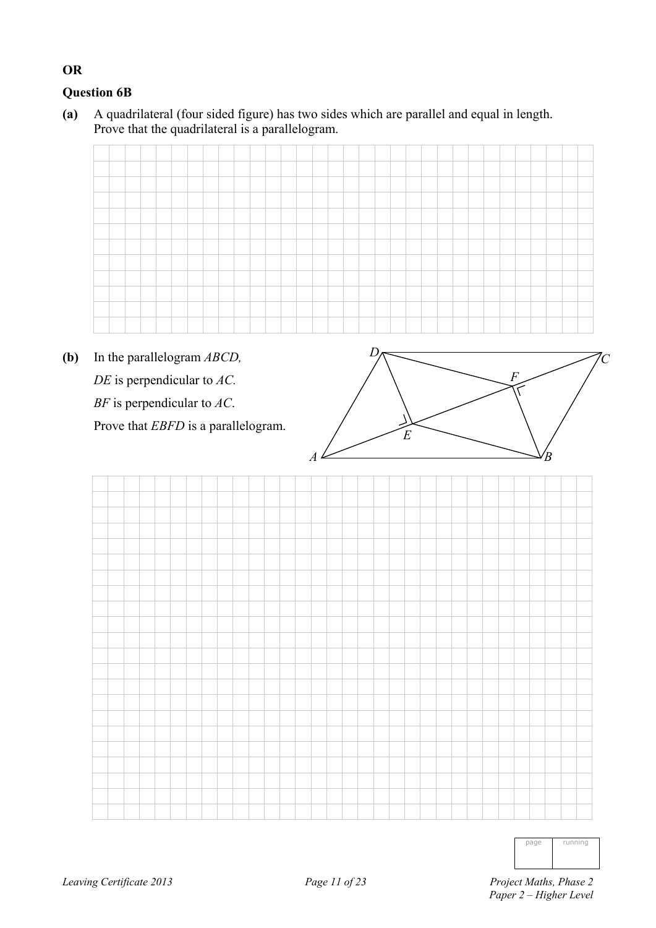### **Question 6B**

**OR** 

**(a)** A quadrilateral (four sided figure) has two sides which are parallel and equal in length. Prove that the quadrilateral is a parallelogram.

**(b)** In the parallelogram *ABCD, DE* is perpendicular to *AC. BF* is perpendicular to *AC*. Prove that *EBFD* is a parallelogram.



page running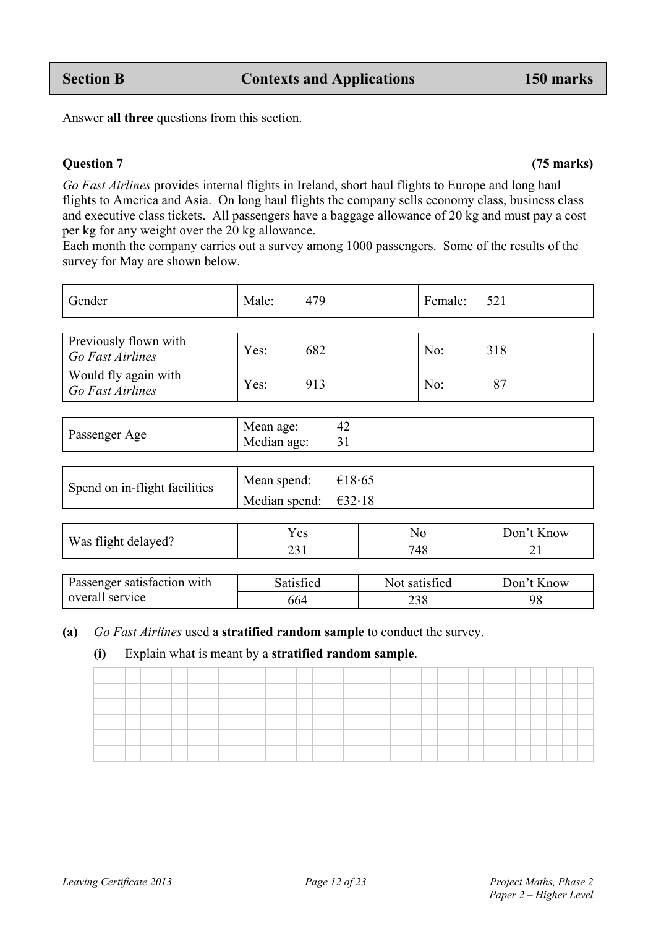| Spend on in-flight facilities | Mean spend: $\epsilon$ 18.65   |  |
|-------------------------------|--------------------------------|--|
|                               | Median spend: $\epsilon$ 32.18 |  |

|                     | Yes | NO  | Don't Know |
|---------------------|-----|-----|------------|
| Was flight delayed? | رے  | 748 |            |
|                     |     |     |            |

| <b>Passenger satisfaction with</b> | Satisfied | Not satisfied | Don't Know |
|------------------------------------|-----------|---------------|------------|
| overall service                    | 664       | 238           | 98         |

### **(a)** *Go Fast Airlines* used a **stratified random sample** to conduct the survey.

### **(i)** Explain what is meant by a **stratified random sample**.

*Go Fast Airlines* provides internal flights in Ireland, short haul flights to Europe and long haul flights to America and Asia. On long haul flights the company sells economy class, business class and executive class tickets. All passengers have a baggage allowance of 20 kg and must pay a cost

Each month the company carries out a survey among 1000 passengers. Some of the results of the

Gender Male: 479 Female: 521

*Go Fast Airlines* **Yes:** 682 No: 318

Median age:

#### **Question 7 (75 marks)**

Answer **all three** questions from this section.

per kg for any weight over the 20 kg allowance.

Passenger Age Mean age: 42<br>Median age: 31

survey for May are shown below.

Previously flown with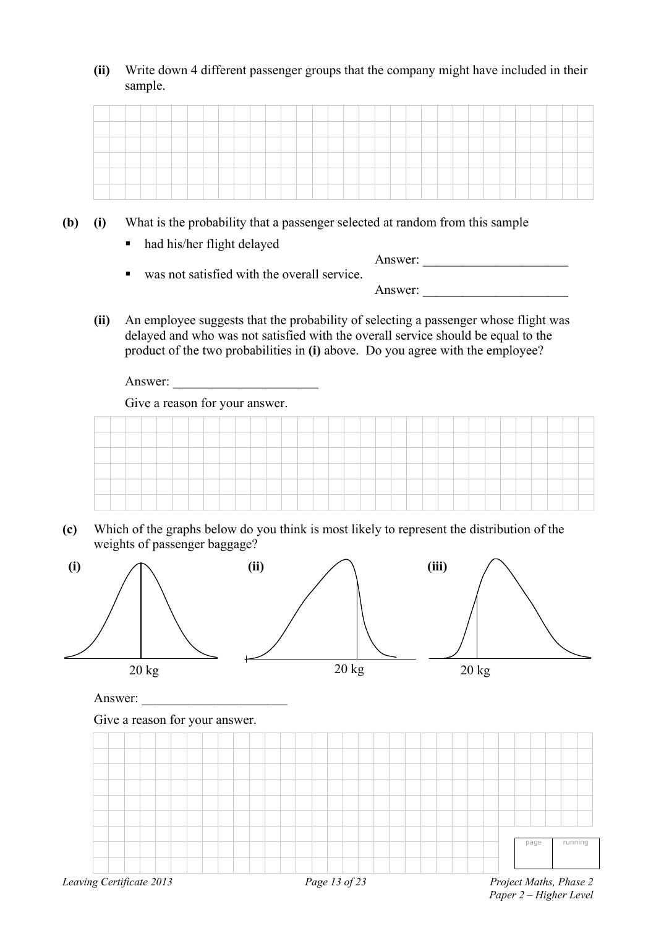**(ii)** Write down 4 different passenger groups that the company might have included in their sample.

- **(b) (i)** What is the probability that a passenger selected at random from this sample
	- had his/her flight delayed

| $\blacksquare$ | was not satisfied with the overall service. | Answer: |  |
|----------------|---------------------------------------------|---------|--|
|                |                                             | Answer: |  |

**(ii)** An employee suggests that the probability of selecting a passenger whose flight was delayed and who was not satisfied with the overall service should be equal to the product of the two probabilities in **(i)** above. Do you agree with the employee?

Answer:

Give a reason for your answer.



**(c)** Which of the graphs below do you think is most likely to represent the distribution of the weights of passenger baggage?



 *Paper 2 – Higher Level*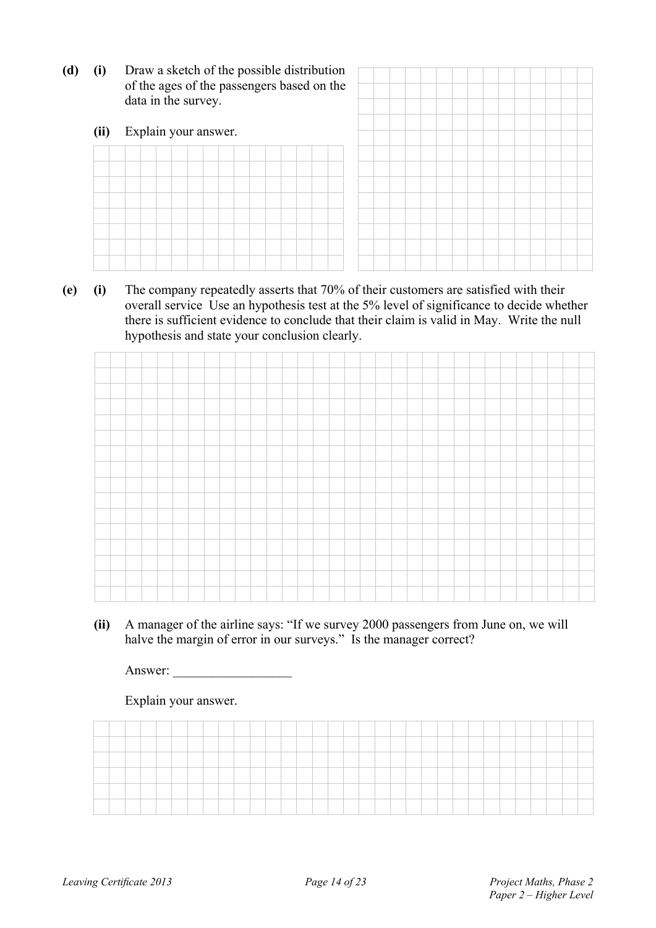**(d) (i)** Draw a sketch of the possible distribution of the ages of the pas data in the survey.

| (i)  | Draw a sketch of the possible distribution<br>of the ages of the passengers based on the<br>data in the survey. |  |  |  |  |  |  |  |  |  |  |  |  |  |  |  |
|------|-----------------------------------------------------------------------------------------------------------------|--|--|--|--|--|--|--|--|--|--|--|--|--|--|--|
| (ii) | Explain your answer.                                                                                            |  |  |  |  |  |  |  |  |  |  |  |  |  |  |  |
|      |                                                                                                                 |  |  |  |  |  |  |  |  |  |  |  |  |  |  |  |
|      |                                                                                                                 |  |  |  |  |  |  |  |  |  |  |  |  |  |  |  |
|      |                                                                                                                 |  |  |  |  |  |  |  |  |  |  |  |  |  |  |  |
|      |                                                                                                                 |  |  |  |  |  |  |  |  |  |  |  |  |  |  |  |
|      |                                                                                                                 |  |  |  |  |  |  |  |  |  |  |  |  |  |  |  |
|      |                                                                                                                 |  |  |  |  |  |  |  |  |  |  |  |  |  |  |  |
|      |                                                                                                                 |  |  |  |  |  |  |  |  |  |  |  |  |  |  |  |
|      |                                                                                                                 |  |  |  |  |  |  |  |  |  |  |  |  |  |  |  |

**(e) (i)** The company repeatedly asserts that 70% of their customers are satisfied with their overall service Use an hypothesis test at the 5% level of significance to decide whether there is sufficient evidence to conclude that their claim is valid in May. Write the null hypothesis and state your conclusion clearly.

**(ii)** A manager of the airline says: "If we survey 2000 passengers from June on, we will halve the margin of error in our surveys." Is the manager correct?

Answer: \_\_\_\_\_\_\_\_\_\_\_\_\_\_\_\_\_\_

Explain your answer.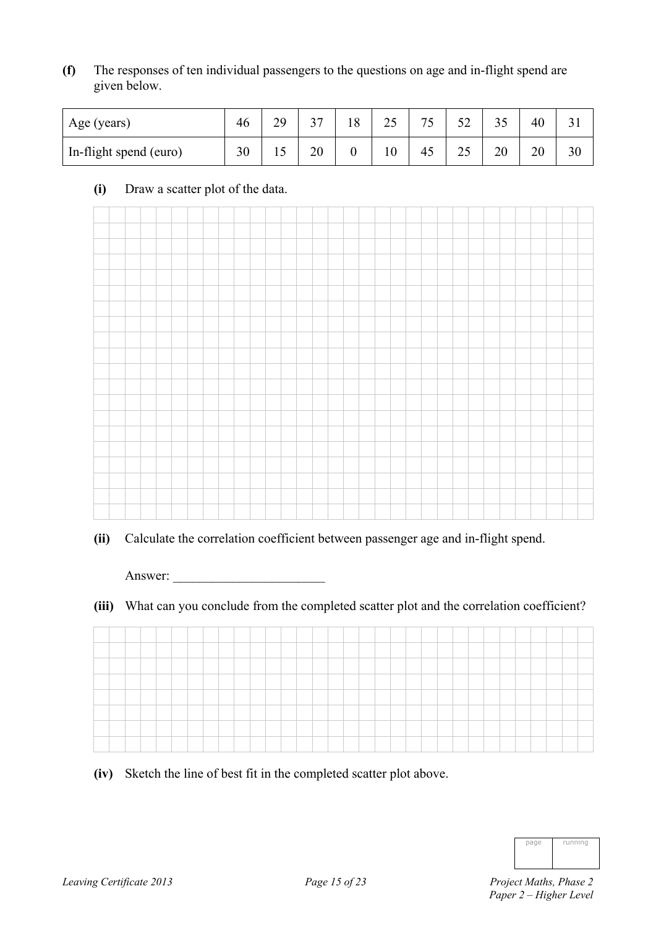**(f)** The responses of ten individual passengers to the questions on age and in-flight spend are given below.

| Age (years)            | 46 | 20<br>ر ب | $\sim$ | 8 | າເ<br>ں کے | 75 | $\sim$<br>◡▵ | ر ر | 40 |    |
|------------------------|----|-----------|--------|---|------------|----|--------------|-----|----|----|
| In-flight spend (euro) | 30 |           | 20     |   | 10         | 45 | ل کے         | 20  | 20 | 30 |

#### **(i)** Draw a scatter plot of the data.



**(ii)** Calculate the correlation coefficient between passenger age and in-flight spend.

Answer:

**(iii)** What can you conclude from the completed scatter plot and the correlation coefficient?

**(iv)** Sketch the line of best fit in the completed scatter plot above.

| page | running |
|------|---------|
|      |         |
|      |         |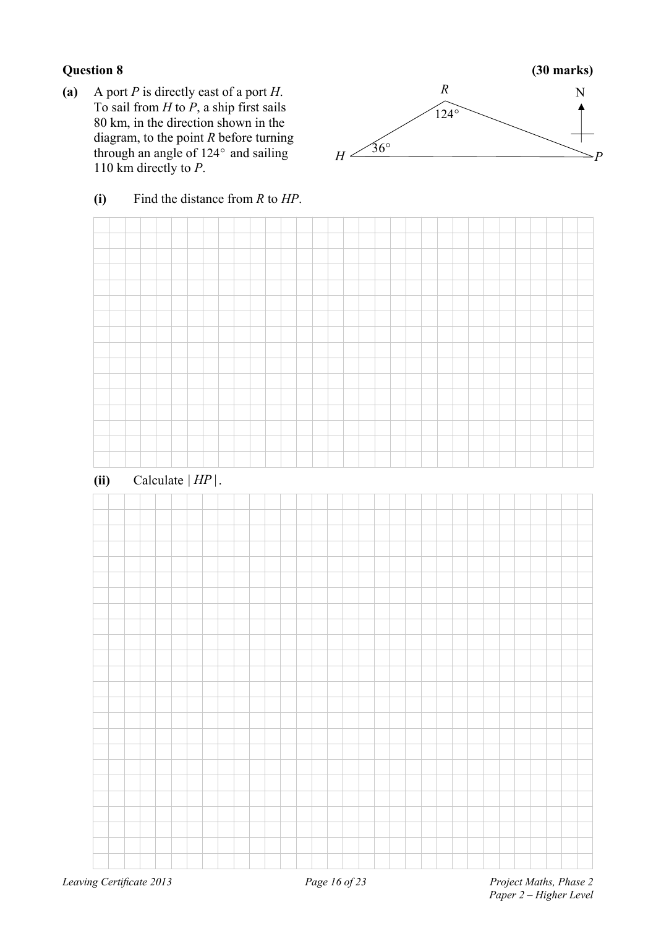**(a)** A port *P* is directly east of a port *H*. To sail from *H* to *P*, a ship first sails 80 km, in the direction shown in the diagram, to the point *R* before turning through an angle of  $124^\circ$  and sailing 110 km directly to *P*.



#### **(i)** Find the distance from *R* to *HP*.

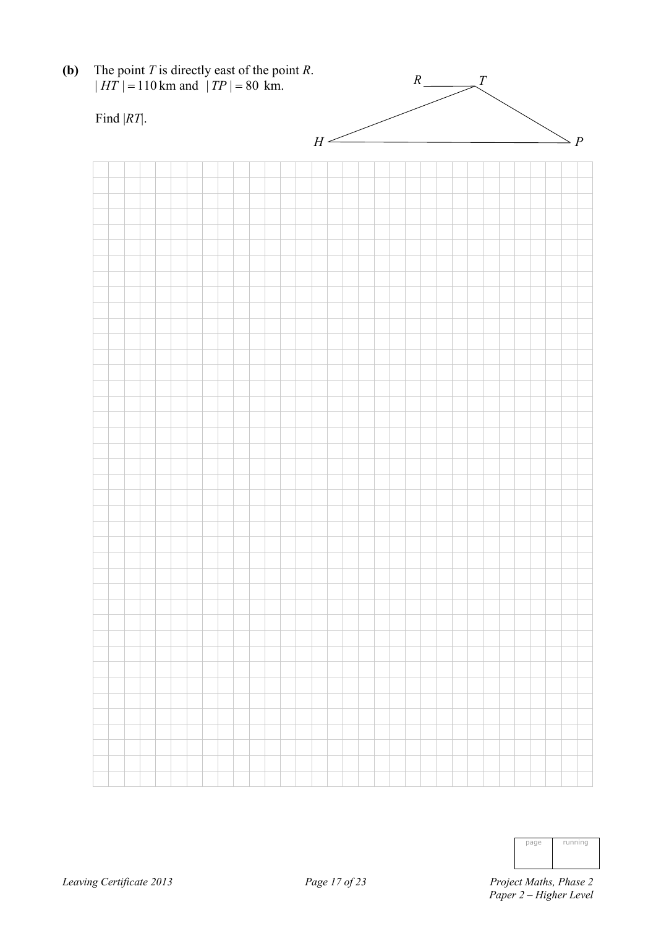

| page | running |
|------|---------|
|      |         |
|      |         |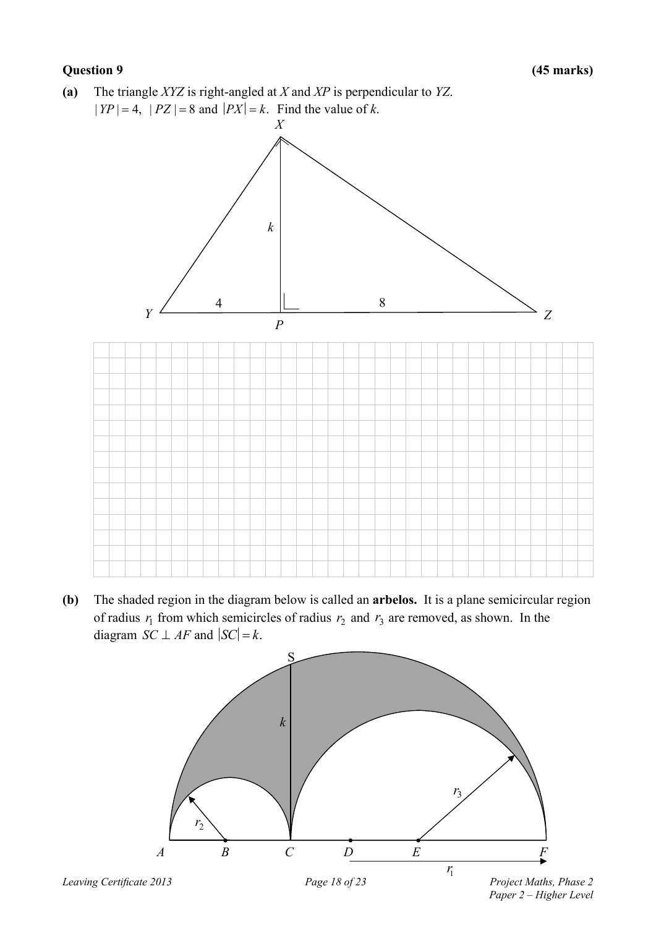**(a)** The triangle *XYZ* is right-angled at *X* and *XP* is perpendicular to *YZ*.  $|YP| = 4$ ,  $|PZ| = 8$  and  $|PX| = k$ . Find the value of *k*.



**(b)** The shaded region in the diagram below is called an **arbelos.** It is a plane semicircular region of radius  $r_1$  from which semicircles of radius  $r_2$  and  $r_3$  are removed, as shown. In the diagram *SC*  $\perp$  *AF* and  $|SC| = k$ .

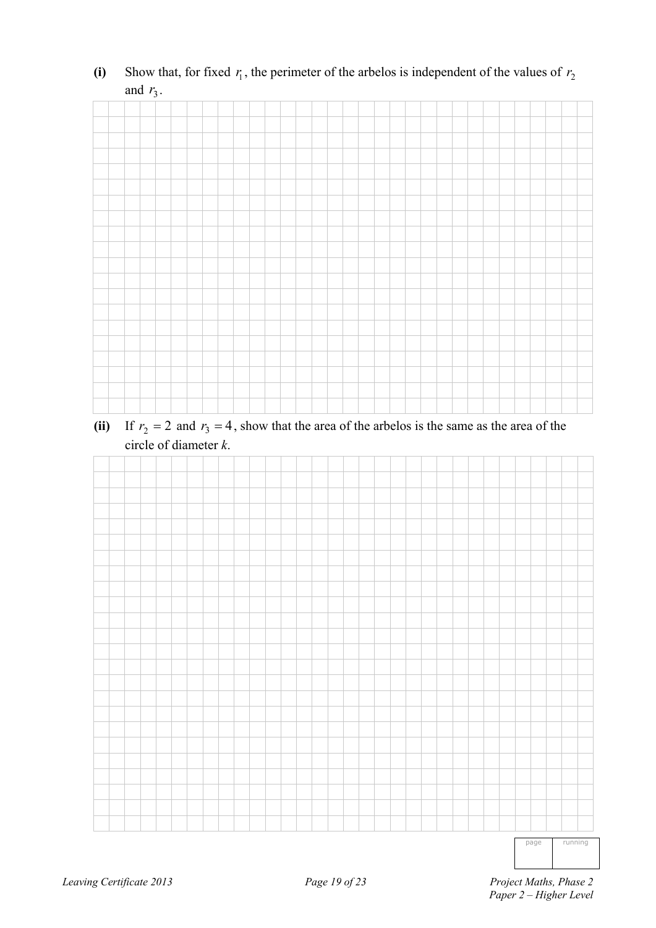|  |  | $\overline{v}$ |  |  |  |  |  |  |  |  |  |  |  |  |  |  |
|--|--|----------------|--|--|--|--|--|--|--|--|--|--|--|--|--|--|
|  |  |                |  |  |  |  |  |  |  |  |  |  |  |  |  |  |
|  |  |                |  |  |  |  |  |  |  |  |  |  |  |  |  |  |
|  |  |                |  |  |  |  |  |  |  |  |  |  |  |  |  |  |
|  |  |                |  |  |  |  |  |  |  |  |  |  |  |  |  |  |
|  |  |                |  |  |  |  |  |  |  |  |  |  |  |  |  |  |
|  |  |                |  |  |  |  |  |  |  |  |  |  |  |  |  |  |
|  |  |                |  |  |  |  |  |  |  |  |  |  |  |  |  |  |
|  |  |                |  |  |  |  |  |  |  |  |  |  |  |  |  |  |
|  |  |                |  |  |  |  |  |  |  |  |  |  |  |  |  |  |
|  |  |                |  |  |  |  |  |  |  |  |  |  |  |  |  |  |
|  |  |                |  |  |  |  |  |  |  |  |  |  |  |  |  |  |
|  |  |                |  |  |  |  |  |  |  |  |  |  |  |  |  |  |
|  |  |                |  |  |  |  |  |  |  |  |  |  |  |  |  |  |
|  |  |                |  |  |  |  |  |  |  |  |  |  |  |  |  |  |
|  |  |                |  |  |  |  |  |  |  |  |  |  |  |  |  |  |
|  |  |                |  |  |  |  |  |  |  |  |  |  |  |  |  |  |
|  |  |                |  |  |  |  |  |  |  |  |  |  |  |  |  |  |
|  |  |                |  |  |  |  |  |  |  |  |  |  |  |  |  |  |
|  |  |                |  |  |  |  |  |  |  |  |  |  |  |  |  |  |
|  |  |                |  |  |  |  |  |  |  |  |  |  |  |  |  |  |
|  |  |                |  |  |  |  |  |  |  |  |  |  |  |  |  |  |

(i) Show that, for fixed  $r_1$ , the perimeter of the arbelos is independent of the values of  $r_2$ and  $r_3$ .

(ii) If  $r_2 = 2$  and  $r_3 = 4$ , show that the area of the arbelos is the same as the area of the circle of diameter *k*.



page running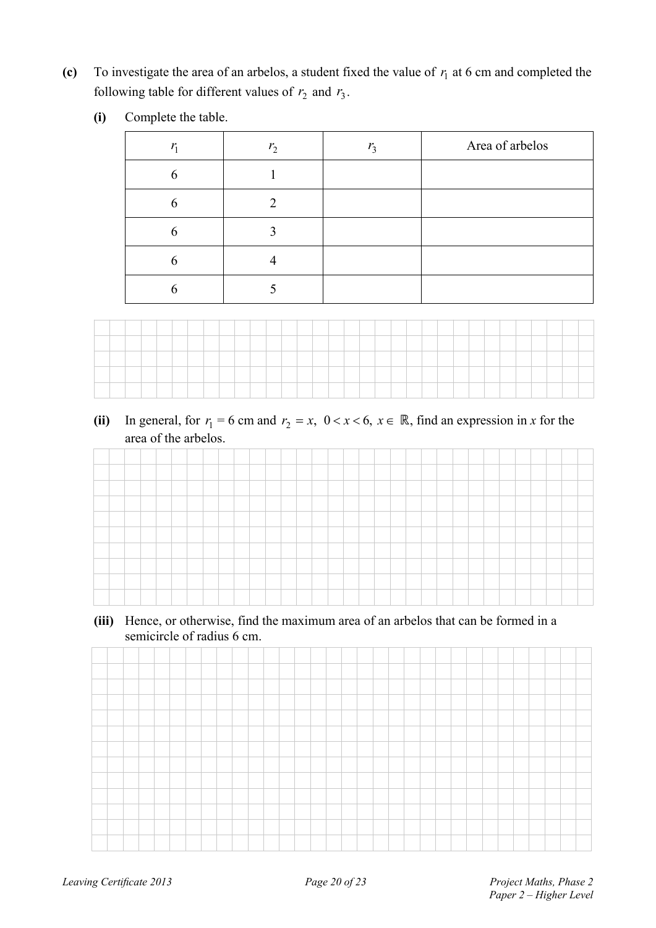(c) To investigate the area of an arbelos, a student fixed the value of  $r_1$  at 6 cm and completed the following table for different values of  $r_2$  and  $r_3$ .

| $\bf(i)$<br>Complete the table. |  |
|---------------------------------|--|
|---------------------------------|--|

| $r_{1}$       | r <sub>2</sub> | $r_{3}$ | Area of arbelos |
|---------------|----------------|---------|-----------------|
| h             |                |         |                 |
| $\mathfrak b$ |                |         |                 |
| h             |                |         |                 |
|               |                |         |                 |
|               |                |         |                 |



(ii) In general, for  $r_1 = 6$  cm and  $r_2 = x$ ,  $0 < x < 6$ ,  $x \in \mathbb{R}$ , find an expression in *x* for the area of the arbelos.

|  |  |  |  | _______ |  |  |  |  |  |  |  |  |  |  |  |
|--|--|--|--|---------|--|--|--|--|--|--|--|--|--|--|--|
|  |  |  |  |         |  |  |  |  |  |  |  |  |  |  |  |
|  |  |  |  |         |  |  |  |  |  |  |  |  |  |  |  |
|  |  |  |  |         |  |  |  |  |  |  |  |  |  |  |  |
|  |  |  |  |         |  |  |  |  |  |  |  |  |  |  |  |
|  |  |  |  |         |  |  |  |  |  |  |  |  |  |  |  |
|  |  |  |  |         |  |  |  |  |  |  |  |  |  |  |  |
|  |  |  |  |         |  |  |  |  |  |  |  |  |  |  |  |
|  |  |  |  |         |  |  |  |  |  |  |  |  |  |  |  |

**(iii)** Hence, or otherwise, find the maximum area of an arbelos that can be formed in a semicircle of radius 6 cm.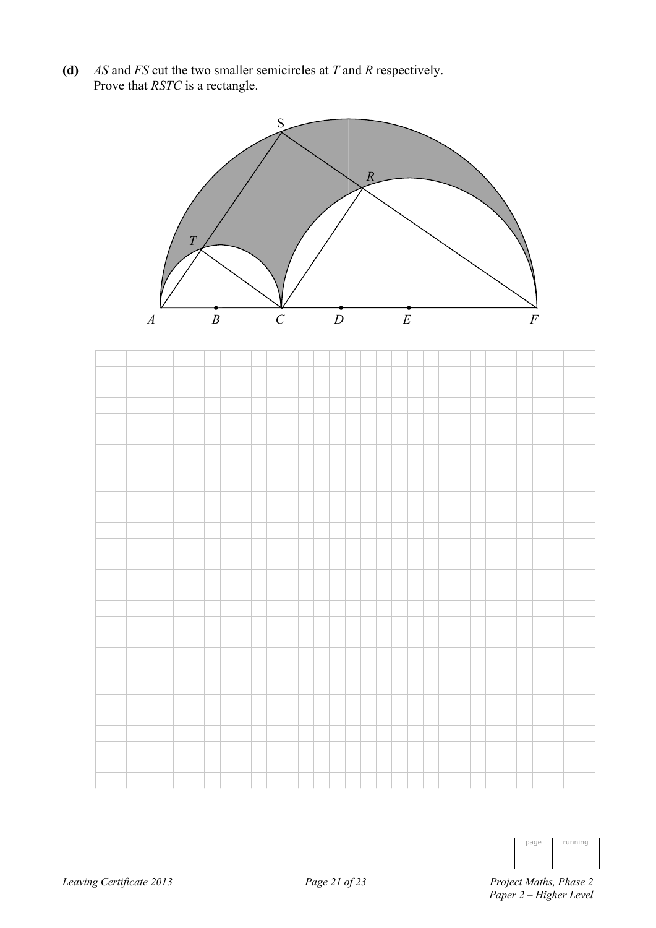**(d)** *AS* and *FS* cut the two smaller semicircles at *T* and *R* respectively. Prove that *RSTC* is a rectangle.



| page | running |
|------|---------|
|      |         |
|      |         |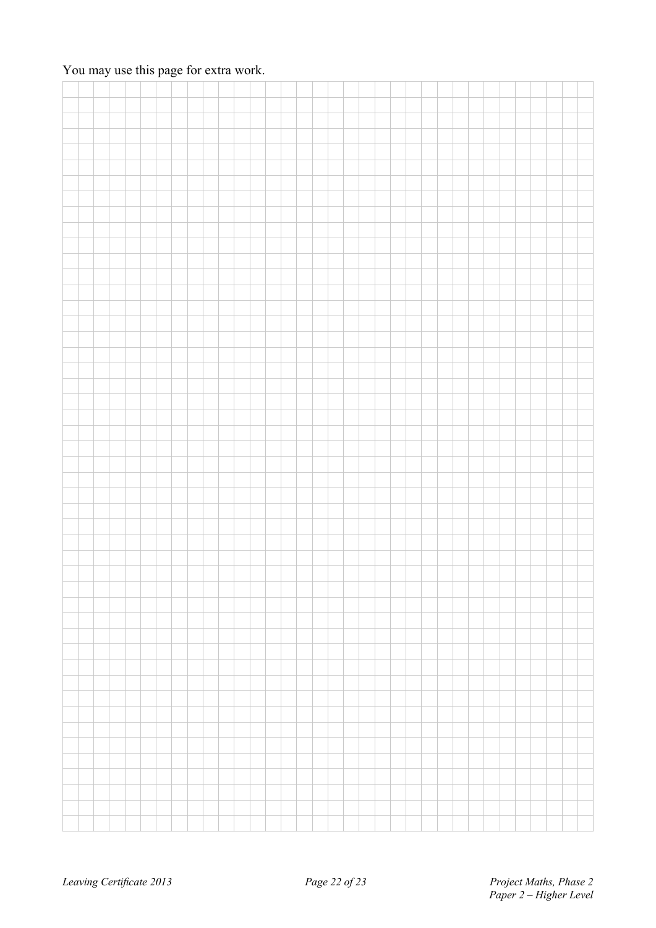### You may use this page for extra work.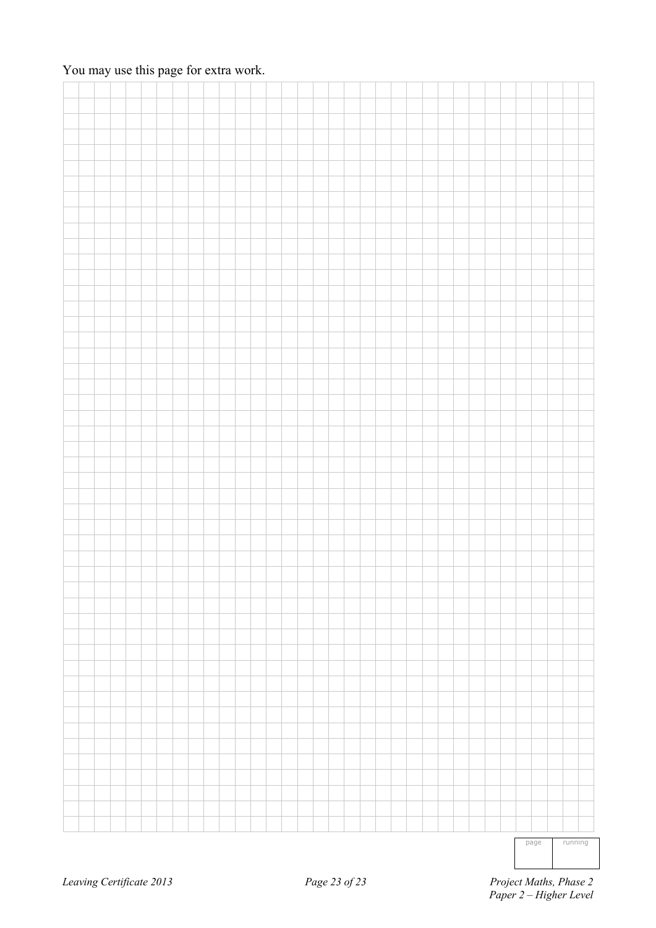### You may use this page for extra work.

|  |  |  |  |  |  |  |  |  |  |  |  |  |  | _______ |  |  |
|--|--|--|--|--|--|--|--|--|--|--|--|--|--|---------|--|--|

page running